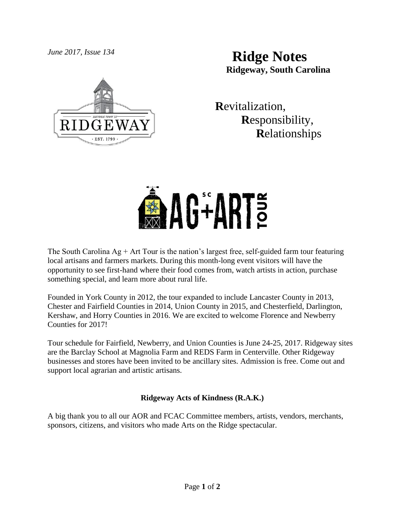

*June 2017, Issue 134* **Ridge Notes Ridgeway, South Carolina**

> **R**evitalization,  **R**esponsibility,  **R**elationships



The South Carolina  $Ag + Art$  Tour is the nation's largest free, self-guided farm tour featuring local artisans and farmers markets. During this month-long event visitors will have the opportunity to see first-hand where their food comes from, watch artists in action, purchase something special, and learn more about rural life.

Founded in York County in 2012, the tour expanded to include Lancaster County in 2013, Chester and Fairfield Counties in 2014, Union County in 2015, and Chesterfield, Darlington, Kershaw, and Horry Counties in 2016. We are excited to welcome Florence and Newberry Counties for 2017!

Tour schedule for Fairfield, Newberry, and Union Counties is June 24-25, 2017. Ridgeway sites are the Barclay School at Magnolia Farm and REDS Farm in Centerville. Other Ridgeway businesses and stores have been invited to be ancillary sites. Admission is free. Come out and support local agrarian and artistic artisans.

## **Ridgeway Acts of Kindness (R.A.K.)**

A big thank you to all our AOR and FCAC Committee members, artists, vendors, merchants, sponsors, citizens, and visitors who made Arts on the Ridge spectacular.